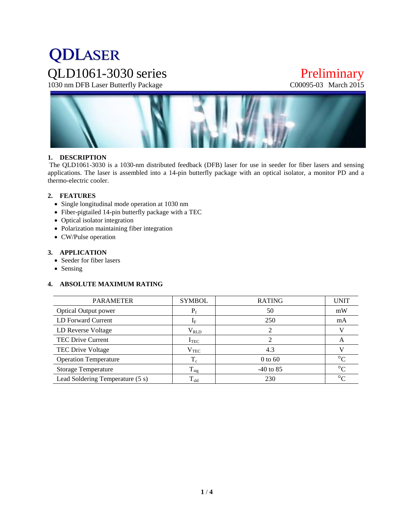# **QDLASER** QLD1061-3030 series Preliminary<br>
1030 nm DFB Laser Butterfly Package C00095-03 March 2015

1030 nm DFB Laser Butterfly Package



#### **1. DESCRIPTION**

The QLD1061-3030 is a 1030-nm distributed feedback (DFB) laser for use in seeder for fiber lasers and sensing applications. The laser is assembled into a 14-pin butterfly package with an optical isolator, a monitor PD and a thermo-electric cooler.

#### **2. FEATURES**

- Single longitudinal mode operation at 1030 nm
- Fiber-pigtailed 14-pin butterfly package with a TEC
- Optical isolator integration
- Polarization maintaining fiber integration
- CW/Pulse operation

#### **3. APPLICATION**

- Seeder for fiber lasers
- Sensing

#### **4. ABSOLUTE MAXIMUM RATING**

| <b>PARAMETER</b>                 | <b>SYMBOL</b>     | <b>RATING</b> | <b>UNIT</b> |
|----------------------------------|-------------------|---------------|-------------|
| <b>Optical Output power</b>      | $P_f$             | 50            | mW          |
| LD Forward Current               | $I_F$             | 250           | mA          |
| LD Reverse Voltage               | $\rm V_{\rm RLD}$ |               |             |
| <b>TEC Drive Current</b>         | $I_{TEC}$         | ↑             | A           |
| TEC Drive Voltage                | $\rm V_{TEC}$     | 4.3           |             |
| <b>Operation Temperature</b>     | $T_c$             | $0$ to 60     | $\circ$     |
| <b>Storage Temperature</b>       | $T_{\rm stg}$     | $-40$ to 85   | $\circ$     |
| Lead Soldering Temperature (5 s) | $T_{\rm sld}$     | 230           | $\circ$     |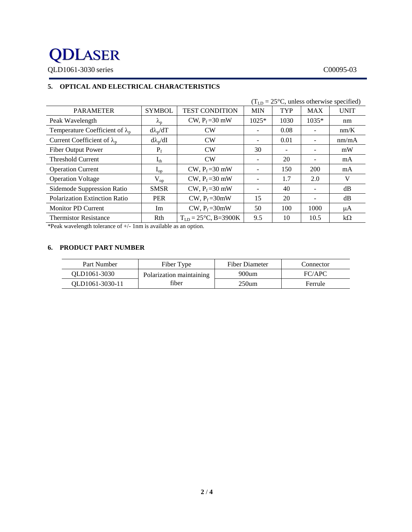## **QDLASER** QLD1061-3030 series C00095-03

### **5. OPTICAL AND ELECTRICAL CHARACTERISTICS**

|                                          | $(T_{LD} = 25\degree C$ , unless otherwise specified) |                                  |                          |                          |            |             |
|------------------------------------------|-------------------------------------------------------|----------------------------------|--------------------------|--------------------------|------------|-------------|
| <b>PARAMETER</b>                         | <b>SYMBOL</b>                                         | <b>TEST CONDITION</b>            | <b>MIN</b>               | TYP                      | <b>MAX</b> | <b>UNIT</b> |
| Peak Wavelength                          | $\lambda_{\rm p}$                                     | CW, $P_f = 30$ mW                | $1025*$                  | 1030                     | 1035*      | nm          |
| Temperature Coefficient of $\lambda_{p}$ | $d\lambda_p/dT$                                       | CW                               | ۰                        | 0.08                     |            | nm/K        |
| Current Coefficient of $\lambda_{p}$     | $d\lambda_p/dI$                                       | CW                               | -                        | 0.01                     |            | nm/mA       |
| <b>Fiber Output Power</b>                | $P_f$                                                 | CW                               | 30                       | $\overline{\phantom{a}}$ |            | mW          |
| <b>Threshold Current</b>                 | $I_{th}$                                              | CW                               | -                        | 20                       |            | mA          |
| <b>Operation Current</b>                 | $I_{op}$                                              | CW, $P_f = 30$ mW                | -                        | 150                      | 200        | mA          |
| <b>Operation Voltage</b>                 | $\rm V_{op}$                                          | CW, $P_f = 30$ mW                |                          | 1.7                      | 2.0        | V           |
| Sidemode Suppression Ratio               | <b>SMSR</b>                                           | CW, $P_f = 30$ mW                | $\overline{\phantom{0}}$ | 40                       |            | dB          |
| <b>Polarization Extinction Ratio</b>     | <b>PER</b>                                            | CW, $P_f = 30$ mW                | 15                       | 20                       |            | dB          |
| <b>Monitor PD Current</b>                | Im                                                    | CW, $P_f = 30$ mW                | 50                       | 100                      | 1000       | μA          |
| <b>Thermistor Resistance</b>             | Rth                                                   | $T_{LD} = 25^{\circ}C$ , B=3900K | 9.5                      | 10                       | 10.5       | $k\Omega$   |

\*Peak wavelength tolerance of +/- 1nm is available as an option.

#### **6. PRODUCT PART NUMBER**

| Part Number     | Fiber Type               | Fiber Diameter | Connector |
|-----------------|--------------------------|----------------|-----------|
| OLD1061-3030    | Polarization maintaining | 900um          | FC/APC    |
| OLD1061-3030-11 | fiber                    | 250um          | Ferrule   |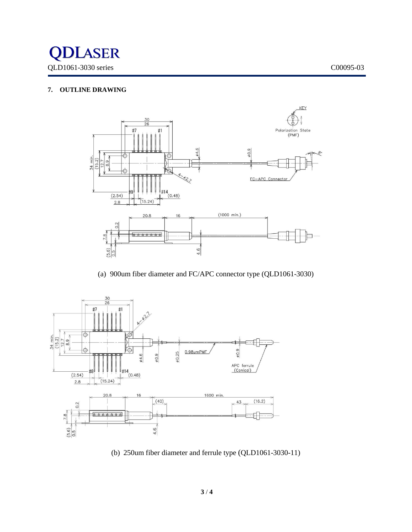

#### **7. OUTLINE DRAWING**



(a) 900um fiber diameter and FC/APC connector type (QLD1061-3030)



(b) 250um fiber diameter and ferrule type (QLD1061-3030-11)